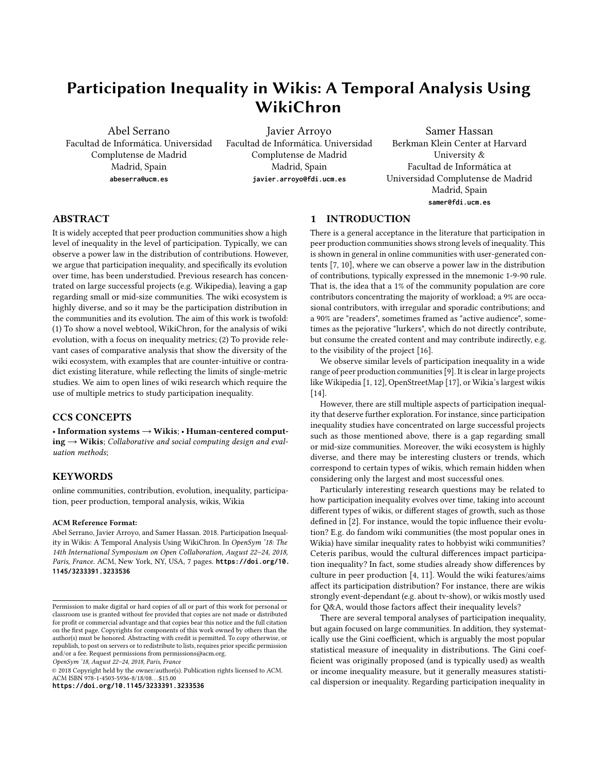# Participation Inequality in Wikis: A Temporal Analysis Using WikiChron

Abel Serrano Facultad de Informática. Universidad Complutense de Madrid Madrid, Spain **abeserra@ucm.es**

Javier Arroyo Facultad de Informática. Universidad Complutense de Madrid Madrid, Spain **javier.arroyo@fdi.ucm.es**

Samer Hassan Berkman Klein Center at Harvard University & Facultad de Informática at Universidad Complutense de Madrid Madrid, Spain **samer@fdi.ucm.es**

# ABSTRACT

It is widely accepted that peer production communities show a high level of inequality in the level of participation. Typically, we can observe a power law in the distribution of contributions. However, we argue that participation inequality, and specifically its evolution over time, has been understudied. Previous research has concentrated on large successful projects (e.g. Wikipedia), leaving a gap regarding small or mid-size communities. The wiki ecosystem is highly diverse, and so it may be the participation distribution in the communities and its evolution. The aim of this work is twofold: (1) To show a novel webtool, WikiChron, for the analysis of wiki evolution, with a focus on inequality metrics; (2) To provide relevant cases of comparative analysis that show the diversity of the wiki ecosystem, with examples that are counter-intuitive or contradict existing literature, while reflecting the limits of single-metric studies. We aim to open lines of wiki research which require the use of multiple metrics to study participation inequality.

# CCS CONCEPTS

 $\bullet$  Information systems  $\to$  Wikis;  $\bullet$  Human-centered comput $ing \rightarrow Wikis$ ; Collaborative and social computing design and evaluation methods;

# **KEYWORDS**

online communities, contribution, evolution, inequality, participation, peer production, temporal analysis, wikis, Wikia

#### ACM Reference Format:

Abel Serrano, Javier Arroyo, and Samer Hassan. 2018. Participation Inequality in Wikis: A Temporal Analysis Using WikiChron. In OpenSym '18: The 14th International Symposium on Open Collaboration, August 22–24, 2018, Paris, France. ACM, New York, NY, USA, [7](#page-6-0) pages. **[https://doi.org/10.](https://doi.org/10.1145/3233391.3233536) [1145/3233391.3233536](https://doi.org/10.1145/3233391.3233536)**

OpenSym '18, August 22–24, 2018, Paris, France

© 2018 Copyright held by the owner/author(s). Publication rights licensed to ACM. ACM ISBN 978-1-4503-5936-8/18/08. . . \$15.00

**<https://doi.org/10.1145/3233391.3233536>**

## 1 INTRODUCTION

There is a general acceptance in the literature that participation in peer production communities shows strong levels of inequality. This is shown in general in online communities with user-generated contents [\[7,](#page-6-1) [10\]](#page-6-2), where we can observe a power law in the distribution of contributions, typically expressed in the mnemonic 1-9-90 rule. That is, the idea that a 1% of the community population are core contributors concentrating the majority of workload; a 9% are occasional contributors, with irregular and sporadic contributions; and a 90% are "readers", sometimes framed as "active audience", sometimes as the pejorative "lurkers", which do not directly contribute, but consume the created content and may contribute indirectly, e.g. to the visibility of the project [\[16\]](#page-6-3).

We observe similar levels of participation inequality in a wide range of peer production communities [\[9\]](#page-6-4). It is clear in large projects like Wikipedia [\[1,](#page-6-5) [12\]](#page-6-6), OpenStreetMap [\[17\]](#page-6-7), or Wikia's largest wikis [\[14\]](#page-6-8).

However, there are still multiple aspects of participation inequality that deserve further exploration. For instance, since participation inequality studies have concentrated on large successful projects such as those mentioned above, there is a gap regarding small or mid-size communities. Moreover, the wiki ecosystem is highly diverse, and there may be interesting clusters or trends, which correspond to certain types of wikis, which remain hidden when considering only the largest and most successful ones.

Particularly interesting research questions may be related to how participation inequality evolves over time, taking into account different types of wikis, or different stages of growth, such as those defined in [\[2\]](#page-6-9). For instance, would the topic influence their evolution? E.g. do fandom wiki communities (the most popular ones in Wikia) have similar inequality rates to hobbyist wiki communities? Ceteris paribus, would the cultural differences impact participation inequality? In fact, some studies already show differences by culture in peer production [\[4,](#page-6-10) [11\]](#page-6-11). Would the wiki features/aims affect its participation distribution? For instance, there are wikis strongly event-dependant (e.g. about tv-show), or wikis mostly used for Q&A, would those factors affect their inequality levels?

There are several temporal analyses of participation inequality, but again focused on large communities. In addition, they systematically use the Gini coefficient, which is arguably the most popular statistical measure of inequality in distributions. The Gini coefficient was originally proposed (and is typically used) as wealth or income inequality measure, but it generally measures statistical dispersion or inequality. Regarding participation inequality in

Permission to make digital or hard copies of all or part of this work for personal or classroom use is granted without fee provided that copies are not made or distributed for profit or commercial advantage and that copies bear this notice and the full citation on the first page. Copyrights for components of this work owned by others than the author(s) must be honored. Abstracting with credit is permitted. To copy otherwise, or republish, to post on servers or to redistribute to lists, requires prior specific permission and/or a fee. Request permissions from permissions@acm.org.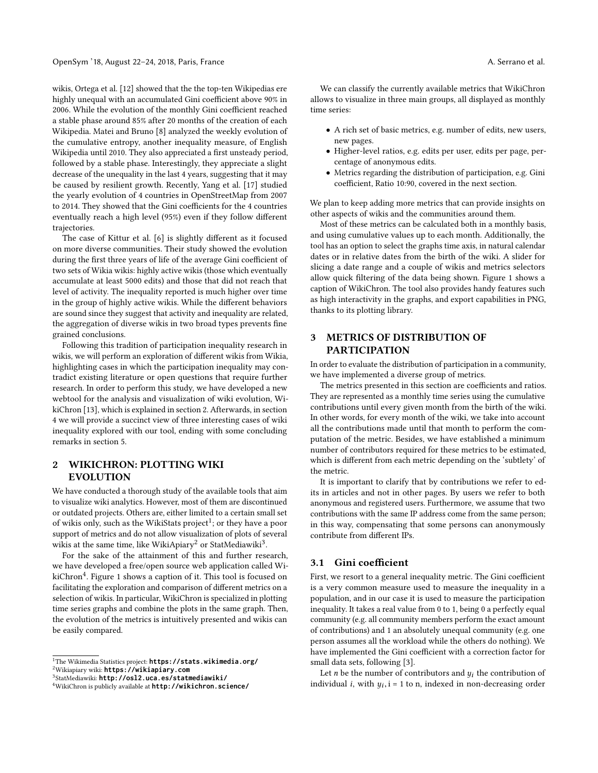wikis, Ortega et al. [\[12\]](#page-6-6) showed that the the top-ten Wikipedias ere highly unequal with an accumulated Gini coefficient above 90% in 2006. While the evolution of the monthly Gini coefficient reached a stable phase around 85% after 20 months of the creation of each Wikipedia. Matei and Bruno [\[8\]](#page-6-12) analyzed the weekly evolution of the cumulative entropy, another inequality measure, of English Wikipedia until 2010. They also appreciated a first unsteady period, followed by a stable phase. Interestingly, they appreciate a slight decrease of the unequality in the last 4 years, suggesting that it may be caused by resilient growth. Recently, Yang et al. [\[17\]](#page-6-7) studied the yearly evolution of 4 countries in OpenStreetMap from 2007 to 2014. They showed that the Gini coefficients for the 4 countries eventually reach a high level (95%) even if they follow different trajectories.

The case of Kittur et al. [\[6\]](#page-6-13) is slightly different as it focused on more diverse communities. Their study showed the evolution during the first three years of life of the average Gini coefficient of two sets of Wikia wikis: highly active wikis (those which eventually accumulate at least 5000 edits) and those that did not reach that level of activity. The inequality reported is much higher over time in the group of highly active wikis. While the different behaviors are sound since they suggest that activity and inequality are related, the aggregation of diverse wikis in two broad types prevents fine grained conclusions.

Following this tradition of participation inequality research in wikis, we will perform an exploration of different wikis from Wikia, highlighting cases in which the participation inequality may contradict existing literature or open questions that require further research. In order to perform this study, we have developed a new webtool for the analysis and visualization of wiki evolution, WikiChron [\[13\]](#page-6-14), which is explained in section [2.](#page-1-0) Afterwards, in section [4](#page-3-0) we will provide a succinct view of three interesting cases of wiki inequality explored with our tool, ending with some concluding remarks in section [5.](#page-5-0)

# <span id="page-1-0"></span>2 WIKICHRON: PLOTTING WIKI EVOLUTION

We have conducted a thorough study of the available tools that aim to visualize wiki analytics. However, most of them are discontinued or outdated projects. Others are, either limited to a certain small set of wikis only, such as the WikiStats  $project<sup>1</sup>;$  $project<sup>1</sup>;$  $project<sup>1</sup>;$  or they have a poor support of metrics and do not allow visualization of plots of several wikis at the same time, like WikiApiary<sup>[2](#page-1-2)</sup> or StatMediawiki<sup>[3](#page-1-3)</sup>.

For the sake of the attainment of this and further research, we have developed a free/open source web application called Wi-kiChron<sup>[4](#page-1-4)</sup>. Figure [1](#page-2-0) shows a caption of it. This tool is focused on facilitating the exploration and comparison of different metrics on a selection of wikis. In particular, WikiChron is specialized in plotting time series graphs and combine the plots in the same graph. Then, the evolution of the metrics is intuitively presented and wikis can be easily compared.

We can classify the currently available metrics that WikiChron allows to visualize in three main groups, all displayed as monthly time series:

- A rich set of basic metrics, e.g. number of edits, new users, new pages.
- Higher-level ratios, e.g. edits per user, edits per page, percentage of anonymous edits.
- Metrics regarding the distribution of participation, e.g. Gini coefficient, Ratio 10:90, covered in the next section.

We plan to keep adding more metrics that can provide insights on other aspects of wikis and the communities around them.

Most of these metrics can be calculated both in a monthly basis, and using cumulative values up to each month. Additionally, the tool has an option to select the graphs time axis, in natural calendar dates or in relative dates from the birth of the wiki. A slider for slicing a date range and a couple of wikis and metrics selectors allow quick filtering of the data being shown. Figure [1](#page-2-0) shows a caption of WikiChron. The tool also provides handy features such as high interactivity in the graphs, and export capabilities in PNG, thanks to its plotting library.

# 3 METRICS OF DISTRIBUTION OF PARTICIPATION

In order to evaluate the distribution of participation in a community, we have implemented a diverse group of metrics.

The metrics presented in this section are coefficients and ratios. They are represented as a monthly time series using the cumulative contributions until every given month from the birth of the wiki. In other words, for every month of the wiki, we take into account all the contributions made until that month to perform the computation of the metric. Besides, we have established a minimum number of contributors required for these metrics to be estimated, which is different from each metric depending on the 'subtlety' of the metric.

It is important to clarify that by contributions we refer to edits in articles and not in other pages. By users we refer to both anonymous and registered users. Furthermore, we assume that two contributions with the same IP address come from the same person; in this way, compensating that some persons can anonymously contribute from different IPs.

# 3.1 Gini coefficient

First, we resort to a general inequality metric. The Gini coefficient is a very common measure used to measure the inequality in a population, and in our case it is used to measure the participation inequality. It takes a real value from 0 to 1, being 0 a perfectly equal community (e.g. all community members perform the exact amount of contributions) and 1 an absolutely unequal community (e.g. one person assumes all the workload while the others do nothing). We have implemented the Gini coefficient with a correction factor for small data sets, following [\[3\]](#page-6-15).

Let *n* be the number of contributors and  $y_i$  the contribution of individual *i*, with  $y_i$ ,  $i = 1$  to n, indexed in non-decreasing order

<span id="page-1-1"></span><sup>1</sup>The Wikimedia Statistics project: **<https://stats.wikimedia.org/>**

<span id="page-1-2"></span><sup>2</sup>Wikiapiary wiki: **<https://wikiapiary.com>**

<span id="page-1-3"></span><sup>3</sup> StatMediawiki: **<http://osl2.uca.es/statmediawiki/>**

<span id="page-1-4"></span><sup>4</sup>WikiChron is publicly available at **<http://wikichron.science/>**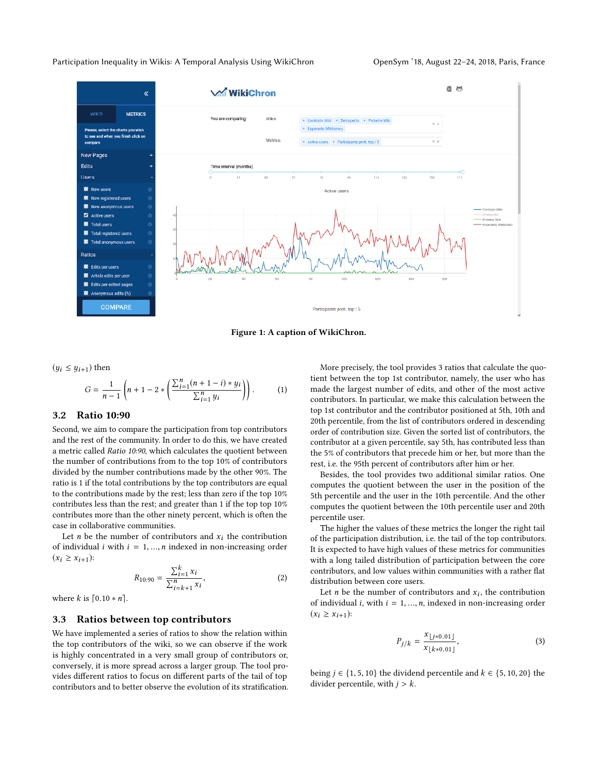#### <span id="page-2-0"></span>Participation Inequality in Wikis: A Temporal Analysis Using WikiChron OpenSym '18, August 22-24, 2018, Paris, France



Figure 1: A caption of WikiChron.

 $(y_i \leq y_{i+1})$  then

$$
G = \frac{1}{n-1} \left( n + 1 - 2 * \left( \frac{\sum_{i=1}^{n} (n+1-i) * y_i}{\sum_{i=1}^{n} y_i} \right) \right).
$$
 (1)

#### 3.2 Ratio 10:90

Second, we aim to compare the participation from top contributors and the rest of the community. In order to do this, we have created a metric called Ratio 10:90, which calculates the quotient between the number of contributions from to the top 10% of contributors divided by the number contributions made by the other 90%. The ratio is 1 if the total contributions by the top contributors are equal to the contributions made by the rest; less than zero if the top 10% contributes less than the rest; and greater than 1 if the top top 10% contributes more than the other ninety percent, which is often the case in collaborative communities.

Let *n* be the number of contributors and  $x_i$  the contribution of individual *i* with  $i = 1, ..., n$  indexed in non-increasing order  $(x_i \ge x_{i+1})$ :

$$
R_{10:90} = \frac{\sum_{i=1}^{k} x_i}{\sum_{i=k+1}^{n} x_i},\tag{2}
$$

where  $k$  is  $[0.10 * n]$ .

#### 3.3 Ratios between top contributors

We have implemented a series of ratios to show the relation within the top contributors of the wiki, so we can observe if the work is highly concentrated in a very small group of contributors or, conversely, it is more spread across a larger group. The tool provides different ratios to focus on different parts of the tail of top contributors and to better observe the evolution of its stratification.

More precisely, the tool provides 3 ratios that calculate the quotient between the top 1st contributor, namely, the user who has made the largest number of edits, and other of the most active contributors. In particular, we make this calculation between the top 1st contributor and the contributor positioned at 5th, 10th and 20th percentile, from the list of contributors ordered in descending order of contribution size. Given the sorted list of contributors, the contributor at a given percentile, say 5th, has contributed less than the 5% of contributors that precede him or her, but more than the rest, i.e. the 95th percent of contributors after him or her.

Besides, the tool provides two additional similar ratios. One computes the quotient between the user in the position of the 5th percentile and the user in the 10th percentile. And the other computes the quotient between the 10th percentile user and 20th percentile user.

The higher the values of these metrics the longer the right tail of the participation distribution, i.e. the tail of the top contributors. It is expected to have high values of these metrics for communities with a long tailed distribution of participation between the core contributors, and low values within communities with a rather flat distribution between core users.

Let *n* be the number of contributors and  $x_i$ , the contribution<br>individual *i* with  $i = 1$ , *n* indexed in non-increasing order of individual *i*, with  $i = 1, ..., n$ , indexed in non-increasing order  $(x_i \ge x_{i+1})$ :

$$
P_{j/k} = \frac{x_{\lfloor j*0.01 \rfloor}}{x_{\lfloor k*0.01 \rfloor}},
$$
\n(3)

being  $j \in \{1, 5, 10\}$  the dividend percentile and  $k \in \{5, 10, 20\}$  the divider percentile, with  $j > k$ .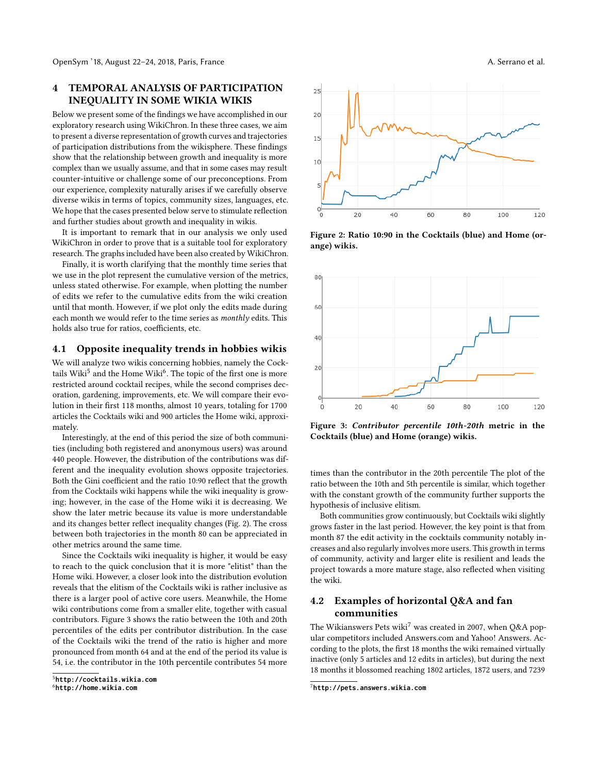# <span id="page-3-0"></span>4 TEMPORAL ANALYSIS OF PARTICIPATION INEQUALITY IN SOME WIKIA WIKIS

Below we present some of the findings we have accomplished in our exploratory research using WikiChron. In these three cases, we aim to present a diverse representation of growth curves and trajectories of participation distributions from the wikisphere. These findings show that the relationship between growth and inequality is more complex than we usually assume, and that in some cases may result counter-intuitive or challenge some of our preconceptions. From our experience, complexity naturally arises if we carefully observe diverse wikis in terms of topics, community sizes, languages, etc. We hope that the cases presented below serve to stimulate reflection and further studies about growth and inequality in wikis.

It is important to remark that in our analysis we only used WikiChron in order to prove that is a suitable tool for exploratory research. The graphs included have been also created by WikiChron.

Finally, it is worth clarifying that the monthly time series that we use in the plot represent the cumulative version of the metrics, unless stated otherwise. For example, when plotting the number of edits we refer to the cumulative edits from the wiki creation until that month. However, if we plot only the edits made during each month we would refer to the time series as monthly edits. This holds also true for ratios, coefficients, etc.

# 4.1 Opposite inequality trends in hobbies wikis

We will analyze two wikis concerning hobbies, namely the Cocktails Wiki $^5$  $^5$  and the Home Wiki $^6$  $^6$ . The topic of the first one is more restricted around cocktail recipes, while the second comprises decoration, gardening, improvements, etc. We will compare their evolution in their first 118 months, almost 10 years, totaling for 1700 articles the Cocktails wiki and 900 articles the Home wiki, approximately.

Interestingly, at the end of this period the size of both communities (including both registered and anonymous users) was around 440 people. However, the distribution of the contributions was different and the inequality evolution shows opposite trajectories. Both the Gini coefficient and the ratio 10:90 reflect that the growth from the Cocktails wiki happens while the wiki inequality is growing; however, in the case of the Home wiki it is decreasing. We show the later metric because its value is more understandable and its changes better reflect inequality changes (Fig. [2\)](#page-3-3). The cross between both trajectories in the month 80 can be appreciated in other metrics around the same time.

Since the Cocktails wiki inequality is higher, it would be easy to reach to the quick conclusion that it is more "elitist" than the Home wiki. However, a closer look into the distribution evolution reveals that the elitism of the Cocktails wiki is rather inclusive as there is a larger pool of active core users. Meanwhile, the Home wiki contributions come from a smaller elite, together with casual contributors. Figure [3](#page-3-4) shows the ratio between the 10th and 20th percentiles of the edits per contributor distribution. In the case of the Cocktails wiki the trend of the ratio is higher and more pronounced from month 64 and at the end of the period its value is 54, i.e. the contributor in the 10th percentile contributes 54 more

<span id="page-3-1"></span><sup>5</sup>**<http://cocktails.wikia.com>**

<span id="page-3-3"></span>

Figure 2: Ratio 10:90 in the Cocktails (blue) and Home (orange) wikis.

<span id="page-3-4"></span>

Figure 3: Contributor percentile 10th-20th metric in the Cocktails (blue) and Home (orange) wikis.

times than the contributor in the 20th percentile The plot of the ratio between the 10th and 5th percentile is similar, which together with the constant growth of the community further supports the hypothesis of inclusive elitism.

Both communities grow continuously, but Cocktails wiki slightly grows faster in the last period. However, the key point is that from month 87 the edit activity in the cocktails community notably increases and also regularly involves more users. This growth in terms of community, activity and larger elite is resilient and leads the project towards a more mature stage, also reflected when visiting the wiki.

# 4.2 Examples of horizontal Q&A and fan communities

The Wikianswers Pets wiki<sup>[7](#page-3-5)</sup> was created in 2007, when Q&A popular competitors included Answers.com and Yahoo! Answers. According to the plots, the first 18 months the wiki remained virtually inactive (only 5 articles and 12 edits in articles), but during the next 18 months it blossomed reaching 1802 articles, 1872 users, and 7239

<span id="page-3-2"></span><sup>6</sup>**<http://home.wikia.com>**

<span id="page-3-5"></span><sup>7</sup>**<http://pets.answers.wikia.com>**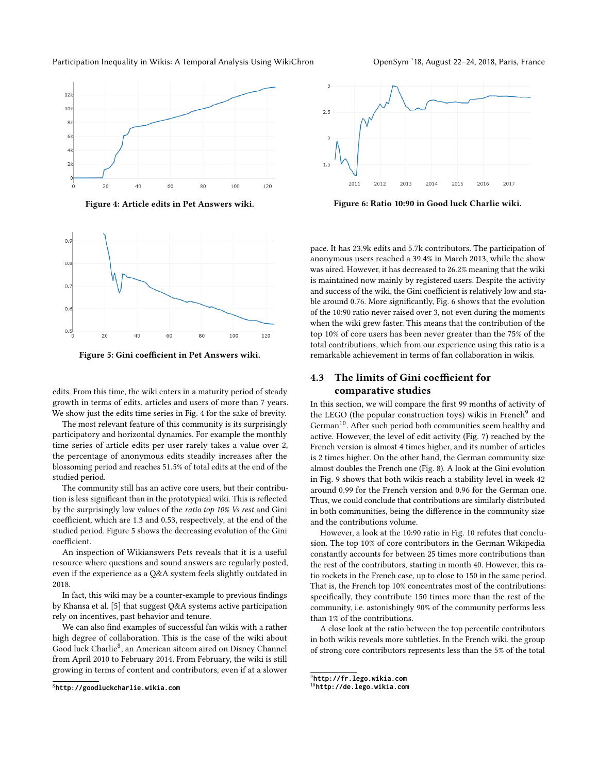#### Participation Inequality in Wikis: A Temporal Analysis Using WikiChron OpenSym '18, August 22-24, 2018, Paris, France

<span id="page-4-0"></span>

Figure 4: Article edits in Pet Answers wiki.

<span id="page-4-1"></span>

Figure 5: Gini coefficient in Pet Answers wiki.

edits. From this time, the wiki enters in a maturity period of steady growth in terms of edits, articles and users of more than 7 years. We show just the edits time series in Fig. [4](#page-4-0) for the sake of brevity.

The most relevant feature of this community is its surprisingly participatory and horizontal dynamics. For example the monthly time series of article edits per user rarely takes a value over 2, the percentage of anonymous edits steadily increases after the blossoming period and reaches <sup>51</sup>.5% of total edits at the end of the studied period.

The community still has an active core users, but their contribution is less significant than in the prototypical wiki. This is reflected by the surprisingly low values of the ratio top 10% Vs rest and Gini coefficient, which are 1.3 and 0.53, respectively, at the end of the studied period. Figure [5](#page-4-1) shows the decreasing evolution of the Gini coefficient.

An inspection of Wikianswers Pets reveals that it is a useful resource where questions and sound answers are regularly posted, even if the experience as a Q&A system feels slightly outdated in 2018.

In fact, this wiki may be a counter-example to previous findings by Khansa et al. [\[5\]](#page-6-16) that suggest Q&A systems active participation rely on incentives, past behavior and tenure.

We can also find examples of successful fan wikis with a rather high degree of collaboration. This is the case of the wiki about Good luck Charlie<sup>[8](#page-4-2)</sup>, an American sitcom aired on Disney Channel from April 2010 to February 2014. From February, the wiki is still growing in terms of content and contributors, even if at a slower

<span id="page-4-3"></span>

Figure 6: Ratio 10:90 in Good luck Charlie wiki.

pace. It has 23.9k edits and 5.7k contributors. The participation of anonymous users reached a 39.4% in March 2013, while the show was aired. However, it has decreased to 26.2% meaning that the wiki is maintained now mainly by registered users. Despite the activity and success of the wiki, the Gini coefficient is relatively low and stable around 0.76. More significantly, Fig. [6](#page-4-3) shows that the evolution of the 10:90 ratio never raised over 3, not even during the moments when the wiki grew faster. This means that the contribution of the top 10% of core users has been never greater than the 75% of the total contributions, which from our experience using this ratio is a remarkable achievement in terms of fan collaboration in wikis.

# 4.3 The limits of Gini coefficient for comparative studies

In this section, we will compare the first 99 months of activity of the LEGO (the popular construction toys) wikis in French<sup>[9](#page-4-4)</sup> and German<sup>[10](#page-4-5)</sup>. After such period both communities seem healthy and active. However, the level of edit activity (Fig. [7\)](#page-5-1) reached by the French version is almost 4 times higher, and its number of articles is 2 times higher. On the other hand, the German community size almost doubles the French one (Fig. [8\)](#page-5-2). A look at the Gini evolution in Fig. [9](#page-5-3) shows that both wikis reach a stability level in week 42 around 0.99 for the French version and 0.96 for the German one. Thus, we could conclude that contributions are similarly distributed in both communities, being the difference in the community size and the contributions volume.

However, a look at the 10:90 ratio in Fig. [10](#page-5-4) refutes that conclusion. The top 10% of core contributors in the German Wikipedia constantly accounts for between 25 times more contributions than the rest of the contributors, starting in month 40. However, this ratio rockets in the French case, up to close to 150 in the same period. That is, the French top 10% concentrates most of the contributions: specifically, they contribute 150 times more than the rest of the community, i.e. astonishingly 90% of the community performs less than 1% of the contributions.

A close look at the ratio between the top percentile contributors in both wikis reveals more subtleties. In the French wiki, the group of strong core contributors represents less than the 5% of the total

<span id="page-4-2"></span><sup>8</sup>**<http://goodluckcharlie.wikia.com>**

<span id="page-4-4"></span><sup>9</sup>**<http://fr.lego.wikia.com>**

<span id="page-4-5"></span><sup>10</sup>**<http://de.lego.wikia.com>**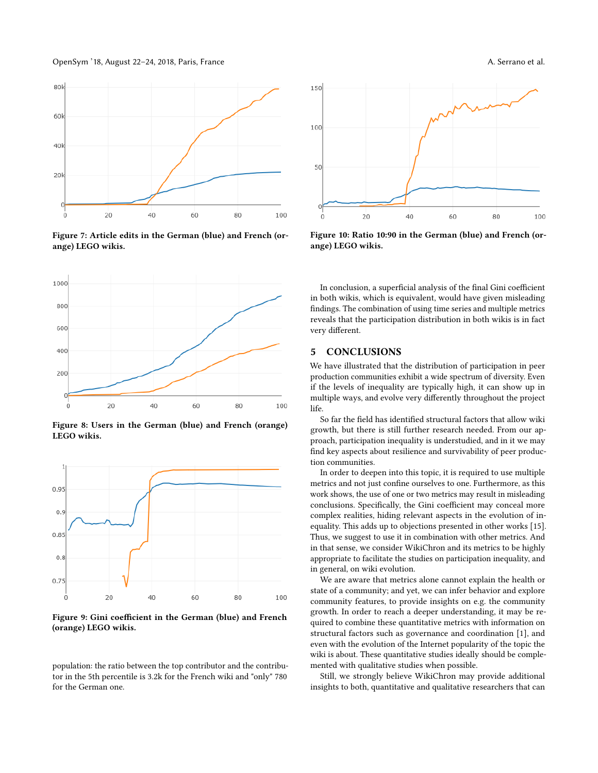OpenSym '18, August 22–24, 2018, Paris, France A. Serrano et al.

<span id="page-5-1"></span>

Figure 7: Article edits in the German (blue) and French (orange) LEGO wikis.

<span id="page-5-2"></span>

Figure 8: Users in the German (blue) and French (orange) LEGO wikis.

<span id="page-5-3"></span>

Figure 9: Gini coefficient in the German (blue) and French (orange) LEGO wikis.

population: the ratio between the top contributor and the contributor in the 5th percentile is 3.2k for the French wiki and "only" 780 for the German one.

<span id="page-5-4"></span>

Figure 10: Ratio 10:90 in the German (blue) and French (orange) LEGO wikis.

In conclusion, a superficial analysis of the final Gini coefficient in both wikis, which is equivalent, would have given misleading findings. The combination of using time series and multiple metrics reveals that the participation distribution in both wikis is in fact very different.

# <span id="page-5-0"></span>5 CONCLUSIONS

We have illustrated that the distribution of participation in peer production communities exhibit a wide spectrum of diversity. Even if the levels of inequality are typically high, it can show up in multiple ways, and evolve very differently throughout the project life.

So far the field has identified structural factors that allow wiki growth, but there is still further research needed. From our approach, participation inequality is understudied, and in it we may find key aspects about resilience and survivability of peer production communities.

In order to deepen into this topic, it is required to use multiple metrics and not just confine ourselves to one. Furthermore, as this work shows, the use of one or two metrics may result in misleading conclusions. Specifically, the Gini coefficient may conceal more complex realities, hiding relevant aspects in the evolution of inequality. This adds up to objections presented in other works [\[15\]](#page-6-17). Thus, we suggest to use it in combination with other metrics. And in that sense, we consider WikiChron and its metrics to be highly appropriate to facilitate the studies on participation inequality, and in general, on wiki evolution.

We are aware that metrics alone cannot explain the health or state of a community; and yet, we can infer behavior and explore community features, to provide insights on e.g. the community growth. In order to reach a deeper understanding, it may be required to combine these quantitative metrics with information on structural factors such as governance and coordination [\[1\]](#page-6-5), and even with the evolution of the Internet popularity of the topic the wiki is about. These quantitative studies ideally should be complemented with qualitative studies when possible.

Still, we strongly believe WikiChron may provide additional insights to both, quantitative and qualitative researchers that can